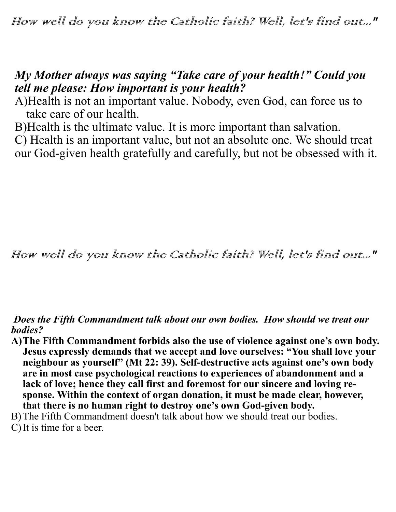## *My Mother always was saying "Take care of your health!" Could you tell me please: How important is your health?*

A)Health is not an important value. Nobody, even God, can force us to take care of our health.

B)Health is the ultimate value. It is more important than salvation. C) Health is an important value, but not an absolute one. We should treat our God-given health gratefully and carefully, but not be obsessed with it.

How well do you know the Catholic faith? Well, let's find out..."

*Does the Fifth Commandment talk about our own bodies. How should we treat our bodies?*

- **A)The Fifth Commandment forbids also the use of violence against one's own body. Jesus expressly demands that we accept and love ourselves: "You shall love your neighbour as yourself" (Mt 22: 39). Self-destructive acts against one's own body are in most case psychological reactions to experiences of abandonment and a lack of love; hence they call first and foremost for our sincere and loving response. Within the context of organ donation, it must be made clear, however, that there is no human right to destroy one's own God-given body.**
- B)The Fifth Commandment doesn't talk about how we should treat our bodies.
- C) It is time for a beer.